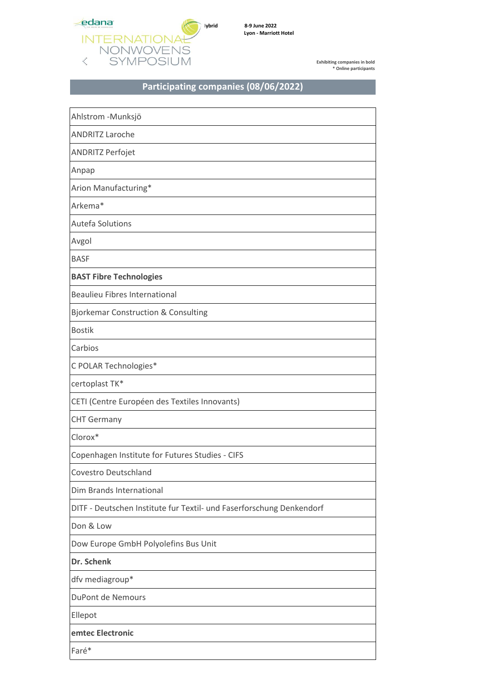

## Participating companies (08/06/2022)

| Ahlstrom -Munksjö                                                    |
|----------------------------------------------------------------------|
| <b>ANDRITZ Laroche</b>                                               |
| ANDRITZ Perfojet                                                     |
| Anpap                                                                |
| Arion Manufacturing*                                                 |
| Arkema*                                                              |
| Autefa Solutions                                                     |
| Avgol                                                                |
| <b>BASF</b>                                                          |
| <b>BAST Fibre Technologies</b>                                       |
| <b>Beaulieu Fibres International</b>                                 |
| <b>Bjorkemar Construction &amp; Consulting</b>                       |
| <b>Bostik</b>                                                        |
| Carbios                                                              |
| C POLAR Technologies*                                                |
| certoplast TK*                                                       |
| CETI (Centre Européen des Textiles Innovants)                        |
| <b>CHT Germany</b>                                                   |
| Clorox*                                                              |
| Copenhagen Institute for Futures Studies - CIFS                      |
| Covestro Deutschland                                                 |
| Dim Brands International                                             |
| DITF - Deutschen Institute fur Textil- und Faserforschung Denkendorf |
| Don & Low                                                            |
| Dow Europe GmbH Polyolefins Bus Unit                                 |
| Dr. Schenk                                                           |
| dfv mediagroup*                                                      |
| DuPont de Nemours                                                    |
| Ellepot                                                              |
| emtec Electronic                                                     |
| Faré*                                                                |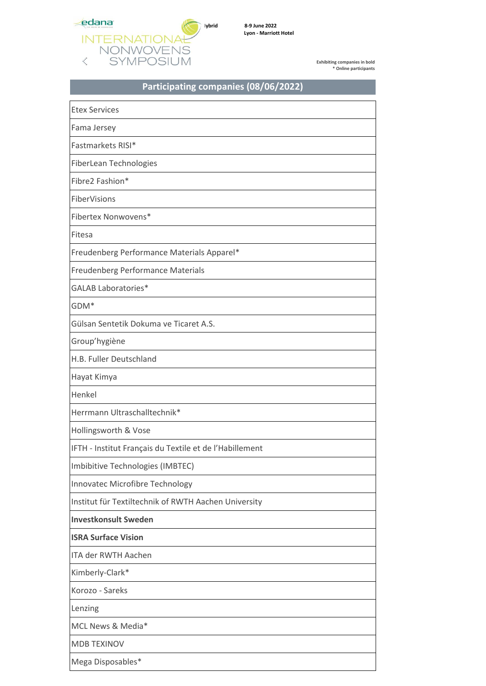

## **Participating companies (08/06/2022)**

| <b>Etex Services</b>                                    |
|---------------------------------------------------------|
| Fama Jersey                                             |
| Fastmarkets RISI*                                       |
| FiberLean Technologies                                  |
| Fibre2 Fashion*                                         |
| FiberVisions                                            |
| Fibertex Nonwovens*                                     |
| Fitesa                                                  |
| Freudenberg Performance Materials Apparel*              |
| Freudenberg Performance Materials                       |
| <b>GALAB Laboratories*</b>                              |
| GDM <sup>*</sup>                                        |
| Gülsan Sentetik Dokuma ve Ticaret A.S.                  |
| Group'hygiène                                           |
| H.B. Fuller Deutschland                                 |
| Hayat Kimya                                             |
| Henkel                                                  |
| Herrmann Ultraschalltechnik*                            |
| Hollingsworth & Vose                                    |
| IFTH - Institut Français du Textile et de l'Habillement |
| Imbibitive Technologies (IMBTEC)                        |
| Innovatec Microfibre Technology                         |
| Institut für Textiltechnik of RWTH Aachen University    |
| <b>Investkonsult Sweden</b>                             |
| <b>ISRA Surface Vision</b>                              |
| <b>ITA der RWTH Aachen</b>                              |
| Kimberly-Clark*                                         |
| Korozo - Sareks                                         |
| Lenzing                                                 |
| MCL News & Media*                                       |
| <b>MDB TEXINOV</b>                                      |
|                                                         |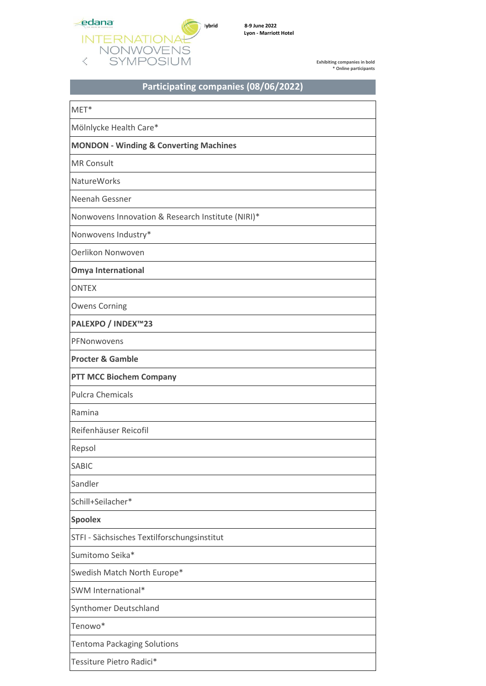

## **Participating companies (08/06/2022)**

| $MET*$                                            |
|---------------------------------------------------|
| Mölnlycke Health Care*                            |
| <b>MONDON - Winding &amp; Converting Machines</b> |
| <b>MR Consult</b>                                 |
| <b>NatureWorks</b>                                |
| Neenah Gessner                                    |
| Nonwovens Innovation & Research Institute (NIRI)* |
| Nonwovens Industry*                               |
| Oerlikon Nonwoven                                 |
| <b>Omya International</b>                         |
| <b>ONTEX</b>                                      |
| <b>Owens Corning</b>                              |
| PALEXPO / INDEX™23                                |
| PFNonwovens                                       |
| <b>Procter &amp; Gamble</b>                       |
| <b>PTT MCC Biochem Company</b>                    |
| <b>Pulcra Chemicals</b>                           |
| Ramina                                            |
| Reifenhäuser Reicofil                             |
| Repsol                                            |
| <b>SABIC</b>                                      |
| Sandler                                           |
| Schill+Seilacher*                                 |
| <b>Spoolex</b>                                    |
| STFI - Sächsisches Textilforschungsinstitut       |
| Sumitomo Seika*                                   |
| Swedish Match North Europe*                       |
| SWM International*                                |
| Synthomer Deutschland                             |
| Tenowo*                                           |
| <b>Tentoma Packaging Solutions</b>                |
| Tessiture Pietro Radici*                          |